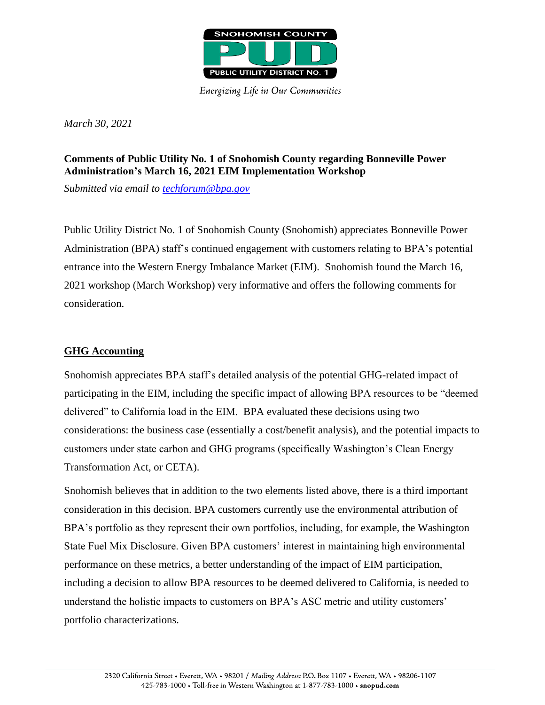

**Energizing Life in Our Communities** 

*March 30, 2021*

## **Comments of Public Utility No. 1 of Snohomish County regarding Bonneville Power Administration's March 16, 2021 EIM Implementation Workshop**

*Submitted via email to [techforum@bpa.gov](mailto:techforum@bpa.gov)*

Public Utility District No. 1 of Snohomish County (Snohomish) appreciates Bonneville Power Administration (BPA) staff's continued engagement with customers relating to BPA's potential entrance into the Western Energy Imbalance Market (EIM). Snohomish found the March 16, 2021 workshop (March Workshop) very informative and offers the following comments for consideration.

## **GHG Accounting**

Snohomish appreciates BPA staff's detailed analysis of the potential GHG-related impact of participating in the EIM, including the specific impact of allowing BPA resources to be "deemed delivered" to California load in the EIM. BPA evaluated these decisions using two considerations: the business case (essentially a cost/benefit analysis), and the potential impacts to customers under state carbon and GHG programs (specifically Washington's Clean Energy Transformation Act, or CETA).

Snohomish believes that in addition to the two elements listed above, there is a third important consideration in this decision. BPA customers currently use the environmental attribution of BPA's portfolio as they represent their own portfolios, including, for example, the Washington State Fuel Mix Disclosure. Given BPA customers' interest in maintaining high environmental performance on these metrics, a better understanding of the impact of EIM participation, including a decision to allow BPA resources to be deemed delivered to California, is needed to understand the holistic impacts to customers on BPA's ASC metric and utility customers' portfolio characterizations.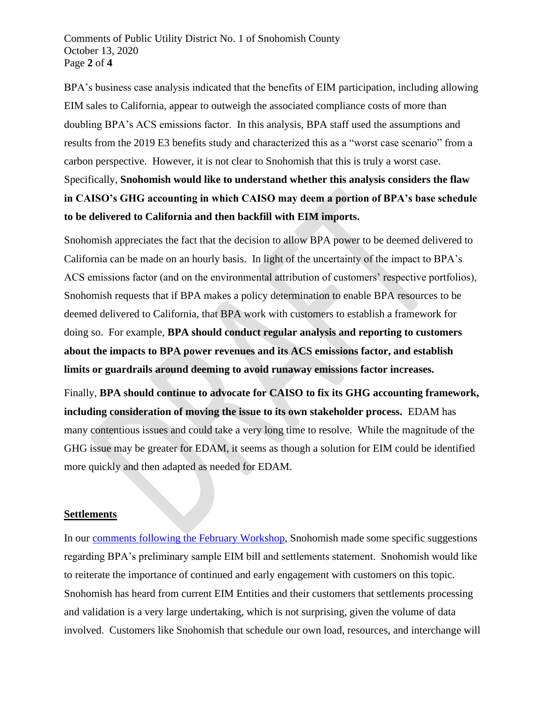Comments of Public Utility District No. 1 of Snohomish County October 13, 2020 Page **2** of **4**

BPA's business case analysis indicated that the benefits of EIM participation, including allowing EIM sales to California, appear to outweigh the associated compliance costs of more than doubling BPA's ACS emissions factor. In this analysis, BPA staff used the assumptions and results from the 2019 E3 benefits study and characterized this as a "worst case scenario" from a carbon perspective. However, it is not clear to Snohomish that this is truly a worst case. Specifically, **Snohomish would like to understand whether this analysis considers the flaw in CAISO's GHG accounting in which CAISO may deem a portion of BPA's base schedule to be delivered to California and then backfill with EIM imports.**

Snohomish appreciates the fact that the decision to allow BPA power to be deemed delivered to California can be made on an hourly basis. In light of the uncertainty of the impact to BPA's ACS emissions factor (and on the environmental attribution of customers' respective portfolios), Snohomish requests that if BPA makes a policy determination to enable BPA resources to be deemed delivered to California, that BPA work with customers to establish a framework for doing so. For example, **BPA should conduct regular analysis and reporting to customers about the impacts to BPA power revenues and its ACS emissions factor, and establish limits or guardrails around deeming to avoid runaway emissions factor increases.**

Finally, **BPA should continue to advocate for CAISO to fix its GHG accounting framework, including consideration of moving the issue to its own stakeholder process.** EDAM has many contentious issues and could take a very long time to resolve. While the magnitude of the GHG issue may be greater for EDAM, it seems as though a solution for EIM could be identified more quickly and then adapted as needed for EDAM.

## **Settlements**

In our [comments following the February Workshop,](https://www.bpa.gov/Projects/Initiatives/EIM/Doc/20210202-Snohomish-Comments.pdf) Snohomish made some specific suggestions regarding BPA's preliminary sample EIM bill and settlements statement. Snohomish would like to reiterate the importance of continued and early engagement with customers on this topic. Snohomish has heard from current EIM Entities and their customers that settlements processing and validation is a very large undertaking, which is not surprising, given the volume of data involved. Customers like Snohomish that schedule our own load, resources, and interchange will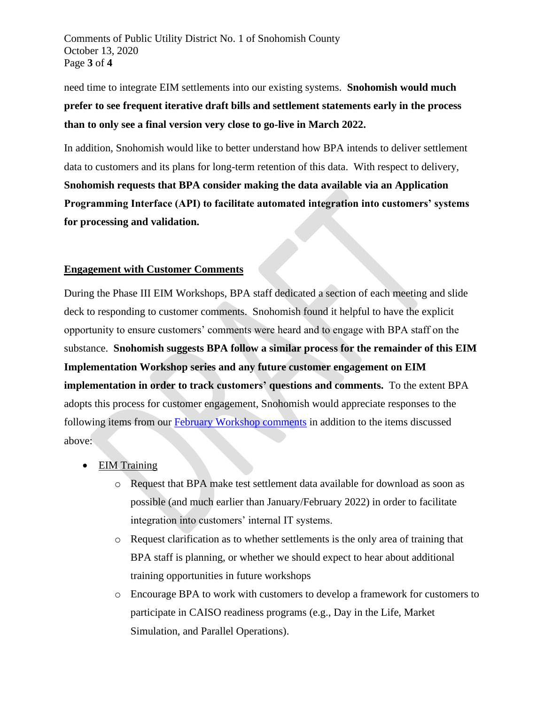Comments of Public Utility District No. 1 of Snohomish County October 13, 2020 Page **3** of **4**

need time to integrate EIM settlements into our existing systems. **Snohomish would much prefer to see frequent iterative draft bills and settlement statements early in the process than to only see a final version very close to go-live in March 2022.**

In addition, Snohomish would like to better understand how BPA intends to deliver settlement data to customers and its plans for long-term retention of this data. With respect to delivery, **Snohomish requests that BPA consider making the data available via an Application Programming Interface (API) to facilitate automated integration into customers' systems for processing and validation.**

## **Engagement with Customer Comments**

During the Phase III EIM Workshops, BPA staff dedicated a section of each meeting and slide deck to responding to customer comments. Snohomish found it helpful to have the explicit opportunity to ensure customers' comments were heard and to engage with BPA staff on the substance. **Snohomish suggests BPA follow a similar process for the remainder of this EIM Implementation Workshop series and any future customer engagement on EIM implementation in order to track customers' questions and comments.** To the extent BPA adopts this process for customer engagement, Snohomish would appreciate responses to the following items from our [February Workshop](https://www.bpa.gov/Projects/Initiatives/EIM/Doc/20210202-Snohomish-Comments.pdf) comments in addition to the items discussed above:

- EIM Training
	- o Request that BPA make test settlement data available for download as soon as possible (and much earlier than January/February 2022) in order to facilitate integration into customers' internal IT systems.
	- o Request clarification as to whether settlements is the only area of training that BPA staff is planning, or whether we should expect to hear about additional training opportunities in future workshops
	- o Encourage BPA to work with customers to develop a framework for customers to participate in CAISO readiness programs (e.g., Day in the Life, Market Simulation, and Parallel Operations).